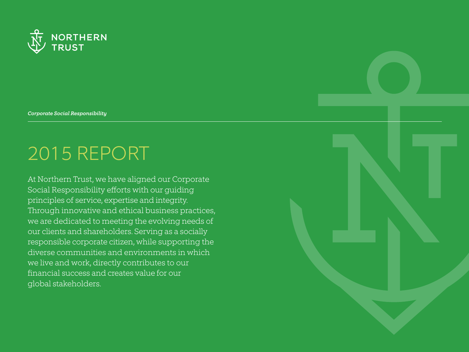

*Corporate Social Responsibility*

# 2015 REPORT

At Northern Trust, we have aligned our Corporate Social Responsibility efforts with our guiding principles of service, expertise and integrity. Through innovative and ethical business practices, we are dedicated to meeting the evolving needs of our clients and shareholders. Serving as a socially responsible corporate citizen, while supporting the diverse communities and environments in which we live and work, directly contributes to our financial success and creates value for our global stakeholders.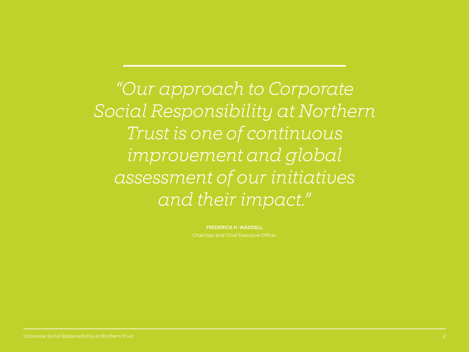*"Our approach to Corporate Social Responsibility at Northern Trust is one of continuous improvement and global assessment of our initiatives and their impact."*

FREDERICK H. WADDELL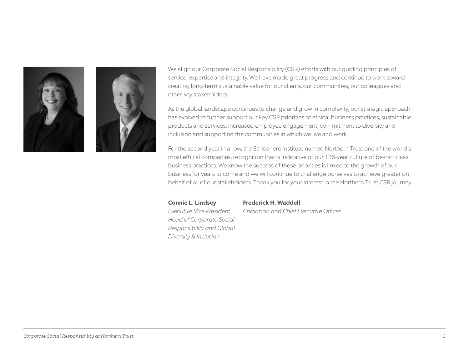



We align our Corporate Social Responsibility (CSR) efforts with our guiding principles of service, expertise and integrity. We have made great progress and continue to work toward creating long-term sustainable value for our clients, our communities, our colleagues and other key stakeholders.

As the global landscape continues to change and grow in complexity, our strategic approach has evolved to further support our key CSR priorities of ethical business practices, sustainable products and services, increased employee engagement, commitment to diversity and inclusion and supporting the communities in which we live and work.

For the second year in a row, the Ethisphere Institute named Northern Trust one of the world's most ethical companies, recognition that is indicative of our 126-year culture of best-in-class business practices. We know the success of these priorities is linked to the growth of our business for years to come and we will continue to challenge ourselves to achieve greater on behalf of all of our stakeholders. Thank you for your interest in the Northern Trust CSR journey.

*Head of Corporate Social Responsibility and Global Diversity & Inclusion*

#### **Connie L. Lindsey Frederick H. Waddell**

*Executive Vice President Chairman and Chief Executive Officer* 

#### *Corporate Social Responsibility at Northern Trust 3*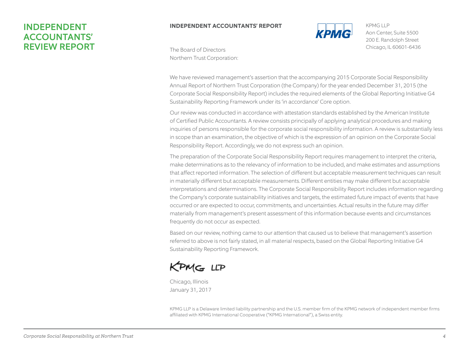# INDEPENDENT ACCOUNTANTS' REVIEW REPORT

#### $\overline{\mathbf{B}}$ **INDEPENDENT ACCOUNTANTS' REPORT**



200 E. Randolph Street Chicago, IL 60601-6436 KPMG LLP Aon Center, Suite 5500

The Board of Directors Northern Trust Corporation:

We have reviewed management's assertion that the accompanying 2015 Corporate Social Responsibility Annual Report of Northern Trust Corporation (the Company) for the year ended December 31, 2015 (the Corporate Social Responsibility Report) includes the required elements of the Global Reporting Initiative G4 Sustainability Reporting Framework under its 'in accordance' Core option.

 $\overline{S}$ inquiries of persons responsible for the corporate social responsibility information. A review is substantially less Responsibility Report. Accordingly, we do not express such an opinion. Annual Report of Northern Trust Corporation (the Company) for the year ended December 31, 2015 (the  $\mathcal{L}(\mathcal{L}_{\text{c}})$  as the according that the accompanying 2015 Corporate Social Responsibility 2015 Corporate Social Responsibility 2015 Corporate Social Responsibility 2015 Corporate Social Responsibility 2015 Corporat of Certified Public Accountants. A review consists principally of applying analytical procedures and making in scope than an examination, the objective of which is the expression of an opinion on the Corporate Social Our review was conducted in accordance with attestation standards established by the American Institute

The preparation of the Corporate Social Responsibility Report requires management to interpret the criteria, make determinations as to the relevancy of information to be included, and make estimates and assumptions that affect reported information. The selection of different but acceptable measurement techniques can result in materially different but acceptable measurements. Different entities may make different but acceptable inquiries of persons responsible for the corporate social responsibility information. A review is substantially less interpretations and determinations. The Corporate Social Responsibility Report includes information regarding the presidence and accommodation. The selection of protein and proteining in performation of exents in an opinion. The selection of expression of exents that have occurred or are expected to occur, commitments, and uncertainties. Actual results in the future may differ materially from management's present assessment of this information because events and circumstances The preparation of the Corporate Social Responsibility Report requires management to interpret the criteria, the Company's corporate sustainability initiatives and targets, the estimated future impact of events that have materially from management's present assessment of this information because events and circumstances<br>frequently do not occur as expected.

Based on our review, nothing came to our attention that caused us to believe that management's assertion the Company's corporate sustainability initiatives and targets, the estimated future impact of events that have referred to above is not fairly stated, in all material respects, based on the Global Reporting Initiative G4 Sustainability Reporting Framework.

KPMG LLP

Chicago, Illinois January 31, 2017

KPMG LLP is a Delaware limited liability partnership and the U.S. member firm of the KPMG network of independent member firms affiliated with KPMG International Cooperative ("KPMG International"), a Swiss entity.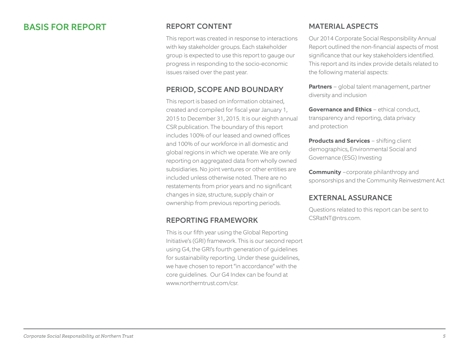# BASIS FOR REPORT

# REPORT CONTENT

This report was created in response to interactions with key stakeholder groups. Each stakeholder group is expected to use this report to gauge our progress in responding to the socio-economic issues raised over the past year.

# PERIOD, SCOPE AND BOUNDARY

This report is based on information obtained, created and compiled for fiscal year January 1, 2015 to December 31, 2015. It is our eighth annual CSR publication. The boundary of this report includes 100% of our leased and owned offices and 100% of our workforce in all domestic and global regions in which we operate. We are only reporting on aggregated data from wholly owned subsidiaries. No joint ventures or other entities are included unless otherwise noted. There are no restatements from prior years and no significant changes in size, structure, supply chain or ownership from previous reporting periods.

# REPORTING FRAMEWORK

This is our fifth year using the Global Reporting Initiative's (GRI) framework. This is our second report using G4, the GRI's fourth generation of guidelines for sustainability reporting. Under these guidelines, we have chosen to report "in accordance" with the core guidelines. Our G4 Index can be found at www.northerntrust.com/csr

# MATERIAL ASPECTS

Our 2014 Corporate Social Responsibility Annual Report outlined the non-financial aspects of most significance that our key stakeholders identified. This report and its index provide details related to the following material aspects:

**Partners** – global talent management, partner diversity and inclusion

**Governance and Ethics** - ethical conduct, transparency and reporting, data privacy and protection

**Products and Services** – shifting client demographics, Environmental Social and Governance (ESG) Investing

**Community** -corporate philanthropy and sponsorships and the Community Reinvestment Act

### EXTERNAL ASSURANCE

Questions related to this report can be sent to CSRatNT@ntrs.com.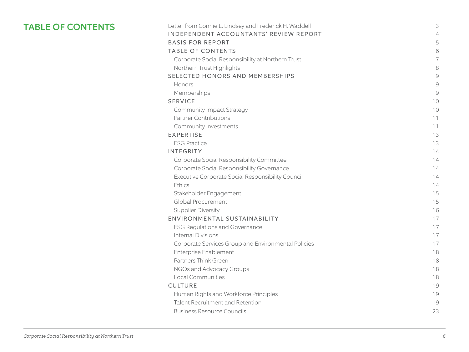# TABLE OF CONTENTS

| Letter from Connie L. Lindsey and Frederick H. Waddell | 3              |
|--------------------------------------------------------|----------------|
| INDEPENDENT ACCOUNTANTS' REVIEW REPORT                 | $\overline{4}$ |
| <b>BASIS FOR REPORT</b>                                | 5              |
| <b>TABLE OF CONTENTS</b>                               | 6              |
| Corporate Social Responsibility at Northern Trust      | 7              |
| Northern Trust Highlights                              | 8              |
| SELECTED HONORS AND MEMBERSHIPS                        | 9              |
| Honors                                                 | 9              |
| Memberships                                            | 9              |
| <b>SERVICE</b>                                         | 10             |
| <b>Community Impact Strategy</b>                       | 10             |
| <b>Partner Contributions</b>                           | 11             |
| Community Investments                                  | 11             |
| <b>EXPERTISE</b>                                       | 13             |
| <b>ESG Practice</b>                                    | 13             |
| <b>INTEGRITY</b>                                       | 14             |
| Corporate Social Responsibility Committee              | 14             |
| Corporate Social Responsibility Governance             | 14             |
| Executive Corporate Social Responsibility Council      | 14             |
| Ethics                                                 | 14             |
| Stakeholder Engagement                                 | 15             |
| Global Procurement                                     | 15             |
| <b>Supplier Diversity</b>                              | 16             |
| ENVIRONMENTAL SUSTAINABILITY                           | 17             |
| <b>ESG Regulations and Governance</b>                  | 17             |
| <b>Internal Divisions</b>                              | 17             |
| Corporate Services Group and Environmental Policies    | 17             |
| <b>Enterprise Enablement</b>                           | 18             |
| Partners Think Green                                   | 18             |
| NGOs and Advocacy Groups                               | 18             |
| <b>Local Communities</b>                               | 18             |
| <b>CULTURE</b>                                         | 19             |
| Human Rights and Workforce Principles                  | 19             |
| Talent Recruitment and Retention                       | 19             |
| <b>Business Resource Councils</b>                      | 23             |
|                                                        |                |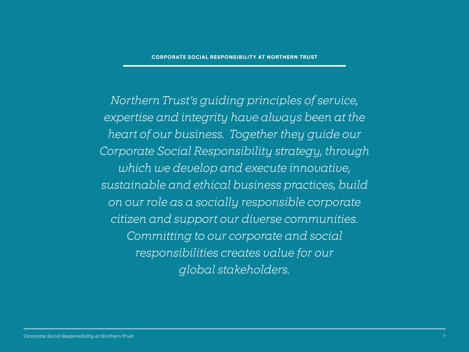*Northern Trust's guiding principles of service, expertise and integrity have always been at the heart of our business. Together they guide our Corporate Social Responsibility strategy, through which we develop and execute innovative, sustainable and ethical business practices, build on our role as a socially responsible corporate citizen and support our diverse communities. Committing to our corporate and social responsibilities creates value for our global stakeholders.*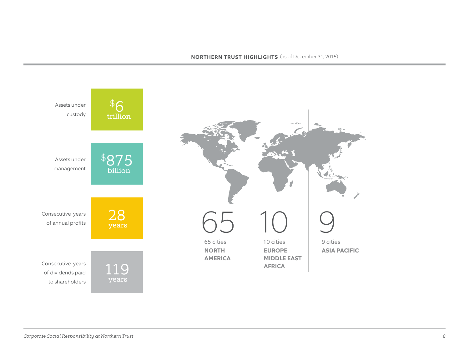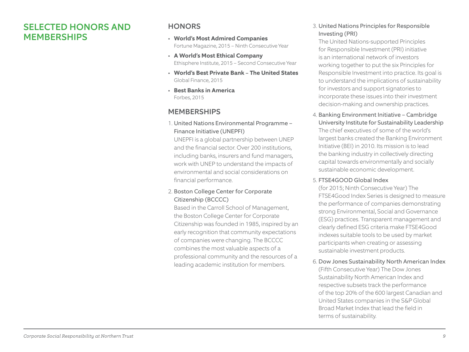# SELECTED HONORS AND MEMBERSHIPS

### **HONORS**

- **World's Most Admired Companies** Fortune Magazine, 2015 – Ninth Consecutive Year
- **A World's Most Ethical Company** Ethisphere Institute, 2015 – Second Consecutive Year
- **World's Best Private Bank The United States** Global Finance, 2015
- **Best Banks in America** Forbes, 2015

# MEMBERSHIPS

1. United Nations Environmental Programme – Finance Initiative (UNEPFI)

UNEPFI is a global partnership between UNEP and the financial sector. Over 200 institutions, including banks, insurers and fund managers, work with UNEP to understand the impacts of environmental and social considerations on financial performance.

#### 2. Boston College Center for Corporate Citizenship (BCCCC)

Based in the Carroll School of Management, the Boston College Center for Corporate Citizenship was founded in 1985, inspired by an early recognition that community expectations of companies were changing. The BCCCC combines the most valuable aspects of a professional community and the resources of a leading academic institution for members.

#### 3. United Nations Principles for Responsible Investing (PRI)

The United Nations-supported Principles for Responsible Investment (PRI) initiative is an international network of investors working together to put the six Principles for Responsible Investment into practice. Its goal is to understand the implications of sustainability for investors and support signatories to incorporate these issues into their investment decision-making and ownership practices.

4. Banking Environment Initiative – Cambridge University Institute for Sustainability Leadership The chief executives of some of the world's largest banks created the Banking Environment Initiative (BEI) in 2010. Its mission is to lead the banking industry in collectively directing capital towards environmentally and socially sustainable economic development.

#### 5. FTSE4GOOD Global Index

(for 2015; Ninth Consecutive Year) The FTSE4Good Index Series is designed to measure the performance of companies demonstrating strong Environmental, Social and Governance (ESG) practices. Transparent management and clearly defined ESG criteria make FTSE4Good indexes suitable tools to be used by market participants when creating or assessing sustainable investment products.

6. Dow Jones Sustainability North American Index

(Fifth Consecutive Year) The Dow Jones Sustainability North American Index and respective subsets track the performance of the top 20% of the 600 largest Canadian and United States companies in the S&P Global Broad Market Index that lead the field in terms of sustainability.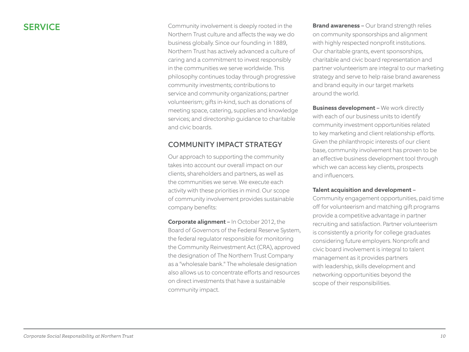SERVICE Community involvement is deeply rooted in the Northern Trust culture and affects the way we do business globally. Since our founding in 1889, Northern Trust has actively advanced a culture of caring and a commitment to invest responsibly in the communities we serve worldwide. This philosophy continues today through progressive community investments; contributions to service and community organizations; partner volunteerism; gifts in-kind, such as donations of meeting space, catering, supplies and knowledge services; and directorship guidance to charitable and civic boards.

# COMMUNITY IMPACT STRATEGY

Our approach to supporting the community takes into account our overall impact on our clients, shareholders and partners, as well as the communities we serve. We execute each activity with these priorities in mind. Our scope of community involvement provides sustainable company benefits:

**Corporate alignment** – In October 2012, the Board of Governors of the Federal Reserve System, the federal regulator responsible for monitoring the Community Reinvestment Act (CRA), approved the designation of The Northern Trust Company as a "wholesale bank." The wholesale designation also allows us to concentrate efforts and resources on direct investments that have a sustainable community impact.

**Brand awareness** – Our brand strength relies on community sponsorships and alignment with highly respected nonprofit institutions. Our charitable grants, event sponsorships, charitable and civic board representation and partner volunteerism are integral to our marketing strategy and serve to help raise brand awareness and brand equity in our target markets around the world.

**Business development - We work directly** with each of our business units to identify community investment opportunities related to key marketing and client relationship efforts. Given the philanthropic interests of our client base, community involvement has proven to be an effective business development tool through which we can access key clients, prospects and influencers.

#### **Talent acquisition and development** –

Community engagement opportunities, paid time off for volunteerism and matching gift programs provide a competitive advantage in partner recruiting and satisfaction. Partner volunteerism is consistently a priority for college graduates considering future employers. Nonprofit and civic board involvement is integral to talent management as it provides partners with leadership, skills development and networking opportunities beyond the scope of their responsibilities.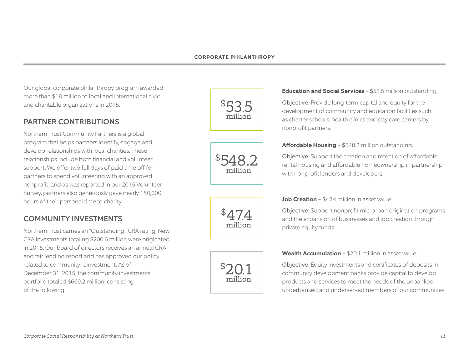Our global corporate philanthropy program awarded more than \$18 million to local and international civic and charitable organizations in 2015.

# PARTNER CONTRIBUTIONS

Northern Trust Community Partners is a global program that helps partners identify, engage and develop relationships with local charities. These relationships include both financial and volunteer support. We offer two full days of paid time off for partners to spend volunteering with an approved nonprofit, and as was reported in our 2015 Volunteer Survey, partners also generously gave nearly 150,000 hours of their personal time to charity.

# COMMUNITY INVESTMENTS

Northern Trust carries an "Outstanding" CRA rating. New CRA investments totaling \$200.6 million were originated in 2015. Our board of directors receives an annual CRA and fair lending report and has approved our policy related to community reinvestment. As of December 31, 2015, the community investments portfolio totaled \$669.2 million, consisting of the following:

\$ 53.5 million



million

\$

#### **Education and Social Services** – \$53.5 million outstanding.

Objective: Provide long-term capital and equity for the development of community and education facilities such as charter schools, health clinics and day care centers by nonprofit partners.

#### **Affordable Housing** – \$548.2 million outstanding.

Objective: Support the creation and retention of affordable rental housing and affordable homeownership in partnership with nonprofit lenders and developers.

#### **Job Creation** – \$47.4 million in asset value.

Objective: Support nonprofit micro loan origination programs and the expansion of businesses and job creation through private equity funds.



**Wealth Accumulation** – \$20.1 million in asset value.

Objective: Equity investments and certificates of deposits in community development banks provide capital to develop products and services to meet the needs of the unbanked, underbanked and underserved members of our communities.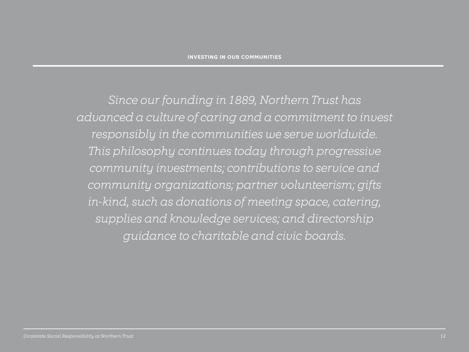*Since our founding in 1889, Northern Trust has advanced a culture of caring and a commitment to invest responsibly in the communities we serve worldwide. This philosophy continues today through progressive community investments; contributions to service and community organizations; partner volunteerism; gifts in-kind, such as donations of meeting space, catering, supplies and knowledge services; and directorship guidance to charitable and civic boards.*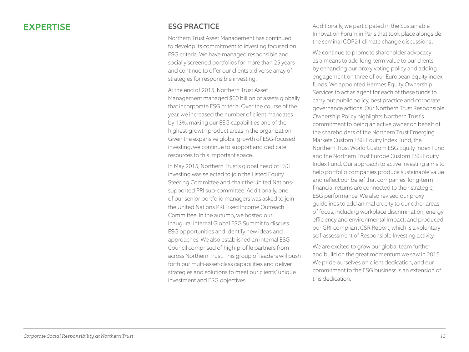# EXPERTISE

# ESG PRACTICE

Northern Trust Asset Management has continued to develop its commitment to investing focused on ESG criteria. We have managed responsible and socially screened portfolios for more than 25 years and continue to offer our clients a diverse array of strategies for responsible investing.

At the end of 2015, Northern Trust Asset Management managed \$60 billion of assets globally that incorporate ESG criteria. Over the course of the year, we increased the number of client mandates by 13%, making our ESG capabilities one of the highest-growth product areas in the organization. Given the expansive global growth of ESG-focused investing, we continue to support and dedicate resources to this important space.

In May 2015, Northern Trust's global head of ESG investing was selected to join the Listed Equity Steering Committee and chair the United Nationssupported PRI sub-committee. Additionally, one of our senior portfolio managers was asked to join the United Nations PRI Fixed Income Outreach Committee. In the autumn, we hosted our inaugural internal Global ESG Summit to discuss ESG opportunities and identify new ideas and approaches. We also established an internal ESG Council comprised of high-profile partners from across Northern Trust. This group of leaders will push forth our multi-asset-class capabilities and deliver strategies and solutions to meet our clients' unique investment and ESG objectives.

Additionally, we participated in the Sustainable Innovation Forum in Paris that took place alongside the seminal COP21 climate change discussions .

We continue to promote shareholder advocacy as a means to add long-term value to our clients by enhancing our proxy voting policy and adding engagement on three of our European equity index funds. We appointed Hermes Equity Ownership Services to act as agent for each of these funds to carry out public policy, best practice and corporate governance actions. Our Northern Trust Responsible Ownership Policy highlights Northern Trust's commitment to being an active owner on behalf of the shareholders of the Northern Trust Emerging Markets Custom ESG Equity Index Fund, the Northern Trust World Custom ESG Equity Index Fund and the Northern Trust Europe Custom ESG Equity Index Fund. Our approach to active investing aims to help portfolio companies produce sustainable value and reflect our belief that companies' long-term financial returns are connected to their strategic, ESG performance. We also revised our proxy guidelines to add animal cruelty to our other areas of focus, including workplace discrimination, energy efficiency and environmental impact; and produced our GRI-compliant CSR Report, which is a voluntary self-assessment of Responsible Investing activity.

We are excited to grow our global team further and build on the great momentum we saw in 2015. We pride ourselves on client dedication, and our commitment to the ESG business is an extension of this dedication.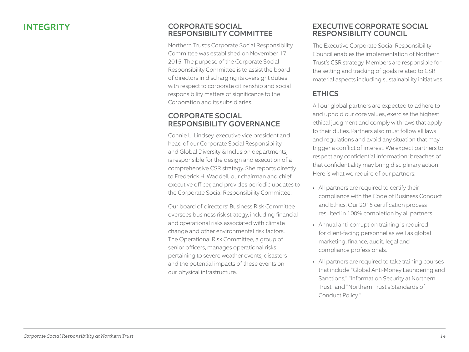### INTEGRITY CORPORATE SOCIAL RESPONSIBILITY COMMITTEE

Northern Trust's Corporate Social Responsibility Committee was established on November 17, 2015. The purpose of the Corporate Social Responsibility Committee is to assist the board of directors in discharging its oversight duties with respect to corporate citizenship and social responsibility matters of significance to the Corporation and its subsidiaries.

# CORPORATE SOCIAL RESPONSIBILITY GOVERNANCE

Connie L. Lindsey, executive vice president and head of our Corporate Social Responsibility and Global Diversity & Inclusion departments, is responsible for the design and execution of a comprehensive CSR strategy. She reports directly to Frederick H. Waddell, our chairman and chief executive officer, and provides periodic updates to the Corporate Social Responsibility Committee.

Our board of directors' Business Risk Committee oversees business risk strategy, including financial and operational risks associated with climate change and other environmental risk factors. The Operational Risk Committee, a group of senior officers, manages operational risks pertaining to severe weather events, disasters and the potential impacts of these events on our physical infrastructure.

### EXECUTIVE CORPORATE SOCIAL RESPONSIBILITY COUNCIL

The Executive Corporate Social Responsibility Council enables the implementation of Northern Trust's CSR strategy. Members are responsible for the setting and tracking of goals related to CSR material aspects including sustainability initiatives.

# **ETHICS**

All our global partners are expected to adhere to and uphold our core values, exercise the highest ethical judgment and comply with laws that apply to their duties. Partners also must follow all laws and regulations and avoid any situation that may trigger a conflict of interest. We expect partners to respect any confidential information; breaches of that confidentiality may bring disciplinary action. Here is what we require of our partners:

- All partners are required to certify their compliance with the Code of Business Conduct and Ethics. Our 2015 certification process resulted in 100% completion by all partners.
- Annual anti-corruption training is required for client-facing personnel as well as global marketing, finance, audit, legal and compliance professionals.
- All partners are required to take training courses that include "Global Anti-Money Laundering and Sanctions," "Information Security at Northern Trust" and "Northern Trust's Standards of Conduct Policy."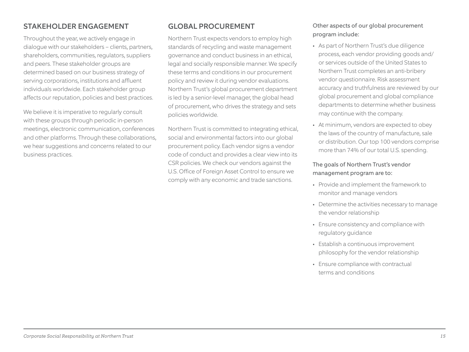# STAKEHOLDER ENGAGEMENT

Throughout the year, we actively engage in dialogue with our stakeholders – clients, partners, shareholders, communities, regulators, suppliers and peers. These stakeholder groups are determined based on our business strategy of serving corporations, institutions and affluent individuals worldwide. Each stakeholder group affects our reputation, policies and best practices.

We believe it is imperative to regularly consult with these groups through periodic in-person meetings, electronic communication, conferences and other platforms. Through these collaborations, we hear suggestions and concerns related to our business practices.

# GLOBAL PROCUREMENT

Northern Trust expects vendors to employ high standards of recycling and waste management governance and conduct business in an ethical, legal and socially responsible manner. We specify these terms and conditions in our procurement policy and review it during vendor evaluations. Northern Trust's global procurement department is led by a senior-level manager, the global head of procurement, who drives the strategy and sets policies worldwide.

Northern Trust is committed to integrating ethical, social and environmental factors into our global procurement policy. Each vendor signs a vendor code of conduct and provides a clear view into its CSR policies. We check our vendors against the U.S. Office of Foreign Asset Control to ensure we comply with any economic and trade sanctions.

#### Other aspects of our global procurement program include:

- As part of Northern Trust's due diligence process, each vendor providing goods and/ or services outside of the United States to Northern Trust completes an anti-bribery vendor questionnaire. Risk assessment accuracy and truthfulness are reviewed by our global procurement and global compliance departments to determine whether business may continue with the company.
- At minimum, vendors are expected to obey the laws of the country of manufacture, sale or distribution. Our top 100 vendors comprise more than 74% of our total U.S. spending.

#### The goals of Northern Trust's vendor management program are to:

- Provide and implement the framework to monitor and manage vendors
- Determine the activities necessary to manage the vendor relationship
- Ensure consistency and compliance with regulatory guidance
- Establish a continuous improvement philosophy for the vendor relationship
- Ensure compliance with contractual terms and conditions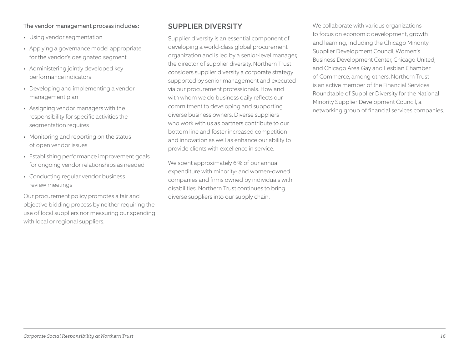#### The vendor management process includes:

- Using vendor segmentation
- Applying a governance model appropriate for the vendor's designated segment
- Administering jointly developed key performance indicators
- Developing and implementing a vendor management plan
- Assigning vendor managers with the responsibility for specific activities the segmentation requires
- Monitoring and reporting on the status of open vendor issues
- Establishing performance improvement goals for ongoing vendor relationships as needed
- Conducting regular vendor business review meetings

Our procurement policy promotes a fair and objective bidding process by neither requiring the use of local suppliers nor measuring our spending with local or regional suppliers.

# SUPPLIER DIVERSITY

Supplier diversity is an essential component of developing a world-class global procurement organization and is led by a senior-level manager, the director of supplier diversity. Northern Trust considers supplier diversity a corporate strategy supported by senior management and executed via our procurement professionals. How and with whom we do business daily reflects our commitment to developing and supporting diverse business owners. Diverse suppliers who work with us as partners contribute to our bottom line and foster increased competition and innovation as well as enhance our ability to provide clients with excellence in service.

We spent approximately 6% of our annual expenditure with minority- and women-owned companies and firms owned by individuals with disabilities. Northern Trust continues to bring diverse suppliers into our supply chain.

We collaborate with various organizations to focus on economic development, growth and learning, including the Chicago Minority Supplier Development Council, Women's Business Development Center, Chicago United, and Chicago Area Gay and Lesbian Chamber of Commerce, among others. Northern Trust is an active member of the Financial Services Roundtable of Supplier Diversity for the National Minority Supplier Development Council, a networking group of financial services companies.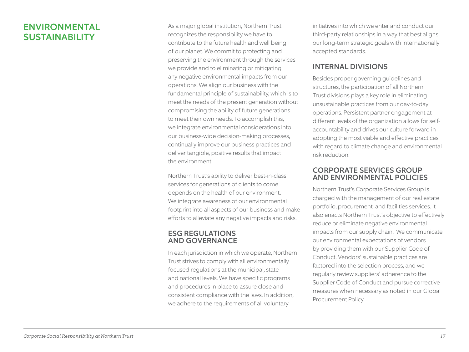# ENVIRONMENTAL SUSTAINABILITY

As a major global institution, Northern Trust recognizes the responsibility we have to contribute to the future health and well being of our planet. We commit to protecting and preserving the environment through the services we provide and to eliminating or mitigating any negative environmental impacts from our operations. We align our business with the fundamental principle of sustainability, which is to meet the needs of the present generation without compromising the ability of future generations to meet their own needs. To accomplish this, we integrate environmental considerations into our business-wide decision-making processes, continually improve our business practices and deliver tangible, positive results that impact the environment.

Northern Trust's ability to deliver best-in-class services for generations of clients to come depends on the health of our environment. We integrate awareness of our environmental footprint into all aspects of our business and make efforts to alleviate any negative impacts and risks.

#### ESG REGULATIONS AND GOVERNANCE

In each jurisdiction in which we operate, Northern Trust strives to comply with all environmentally focused regulations at the municipal, state and national levels. We have specific programs and procedures in place to assure close and consistent compliance with the laws. In addition, we adhere to the requirements of all voluntary

initiatives into which we enter and conduct our third-party relationships in a way that best aligns our long-term strategic goals with internationally accepted standards.

# INTERNAL DIVISIONS

Besides proper governing guidelines and structures, the participation of all Northern Trust divisions plays a key role in eliminating unsustainable practices from our day-to-day operations. Persistent partner engagement at different levels of the organization allows for selfaccountability and drives our culture forward in adopting the most viable and effective practices with regard to climate change and environmental risk reduction.

### CORPORATE SERVICES GROUP AND ENVIRONMENTAL POLICIES

Northern Trust's Corporate Services Group is charged with the management of our real estate portfolio, procurement and facilities services. It also enacts Northern Trust's objective to effectively reduce or eliminate negative environmental impacts from our supply chain. We communicate our environmental expectations of vendors by providing them with our Supplier Code of Conduct. Vendors' sustainable practices are factored into the selection process, and we regularly review suppliers' adherence to the Supplier Code of Conduct and pursue corrective measures when necessary as noted in our Global Procurement Policy.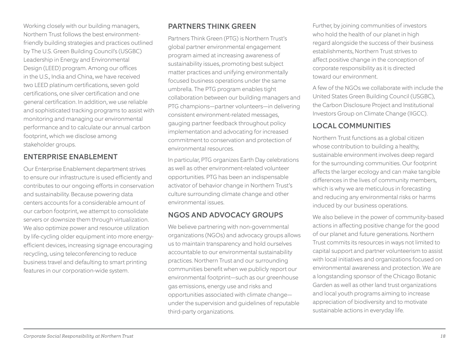Working closely with our building managers, Northern Trust follows the best environmentfriendly building strategies and practices outlined by The U.S. Green Building Council's (USGBC) Leadership in Energy and Environmental Design (LEED) program. Among our offices in the U.S., India and China, we have received two LEED platinum certifications, seven gold certifications, one silver certification and one general certification. In addition, we use reliable and sophisticated tracking programs to assist with monitoring and managing our environmental performance and to calculate our annual carbon footprint, which we disclose among stakeholder groups.

# ENTERPRISE ENABLEMENT

Our Enterprise Enablement department strives to ensure our infrastructure is used efficiently and contributes to our ongoing efforts in conservation and sustainability. Because powering data centers accounts for a considerable amount of our carbon footprint, we attempt to consolidate servers or downsize them through virtualization. We also optimize power and resource utilization by life-cycling older equipment into more energyefficient devices, increasing signage encouraging recycling, using teleconferencing to reduce business travel and defaulting to smart printing features in our corporation-wide system.

# PARTNERS THINK GREEN

Partners Think Green (PTG) is Northern Trust's global partner environmental engagement program aimed at increasing awareness of sustainability issues, promoting best subject matter practices and unifying environmentally focused business operations under the same umbrella. The PTG program enables tight collaboration between our building managers and PTG champions—partner volunteers—in delivering consistent environment-related messages, gauging partner feedback throughout policy implementation and advocating for increased commitment to conservation and protection of environmental resources.

In particular, PTG organizes Earth Day celebrations as well as other environment-related volunteer opportunities. PTG has been an indispensable activator of behavior change in Northern Trust's culture surrounding climate change and other environmental issues.

# NGOS AND ADVOCACY GROUPS

We believe partnering with non-governmental organizations (NGOs) and advocacy groups allows us to maintain transparency and hold ourselves accountable to our environmental sustainability practices. Northern Trust and our surrounding communities benefit when we publicly report our environmental footprint—such as our greenhouse gas emissions, energy use and risks and opportunities associated with climate change under the supervision and guidelines of reputable third-party organizations.

Further, by joining communities of investors who hold the health of our planet in high regard alongside the success of their business establishments, Northern Trust strives to affect positive change in the conception of corporate responsibility as it is directed toward our environment.

A few of the NGOs we collaborate with include the United States Green Building Council (USGBC), the Carbon Disclosure Project and Institutional Investors Group on Climate Change (IIGCC).

# LOCAL COMMUNITIES

Northern Trust functions as a global citizen whose contribution to building a healthy, sustainable environment involves deep regard for the surrounding communities. Our footprint affects the larger ecology and can make tangible differences in the lives of community members, which is why we are meticulous in forecasting and reducing any environmental risks or harms induced by our business operations.

We also believe in the power of community-based actions in affecting positive change for the good of our planet and future generations. Northern Trust commits its resources in ways not limited to capital support and partner volunteerism to assist with local initiatives and organizations focused on environmental awareness and protection. We are a longstanding sponsor of the Chicago Botanic Garden as well as other land trust organizations and local youth programs aiming to increase appreciation of biodiversity and to motivate sustainable actions in everyday life.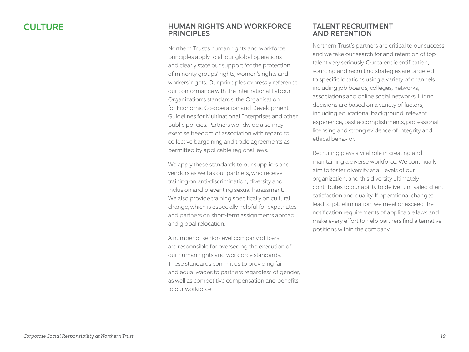#### CULTURE HUMAN RIGHTS AND WORKFORCE **PRINCIPLES**

Northern Trust's human rights and workforce principles apply to all our global operations and clearly state our support for the protection of minority groups' rights, women's rights and workers' rights. Our principles expressly reference our conformance with the International Labour Organization's standards, the Organisation for Economic Co-operation and Development Guidelines for Multinational Enterprises and other public policies. Partners worldwide also may exercise freedom of association with regard to collective bargaining and trade agreements as permitted by applicable regional laws.

We apply these standards to our suppliers and vendors as well as our partners, who receive training on anti-discrimination, diversity and inclusion and preventing sexual harassment. We also provide training specifically on cultural change, which is especially helpful for expatriates and partners on short-term assignments abroad and global relocation.

A number of senior-level company officers are responsible for overseeing the execution of our human rights and workforce standards. These standards commit us to providing fair and equal wages to partners regardless of gender, as well as competitive compensation and benefits to our workforce.

#### TALENT RECRUITMENT AND RETENTION

Northern Trust's partners are critical to our success, and we take our search for and retention of top talent very seriously. Our talent identification, sourcing and recruiting strategies are targeted to specific locations using a variety of channels including job boards, colleges, networks, associations and online social networks. Hiring decisions are based on a variety of factors, including educational background, relevant experience, past accomplishments, professional licensing and strong evidence of integrity and ethical behavior.

Recruiting plays a vital role in creating and maintaining a diverse workforce. We continually aim to foster diversity at all levels of our organization, and this diversity ultimately contributes to our ability to deliver unrivaled client satisfaction and quality. If operational changes lead to job elimination, we meet or exceed the notification requirements of applicable laws and make every effort to help partners find alternative positions within the company.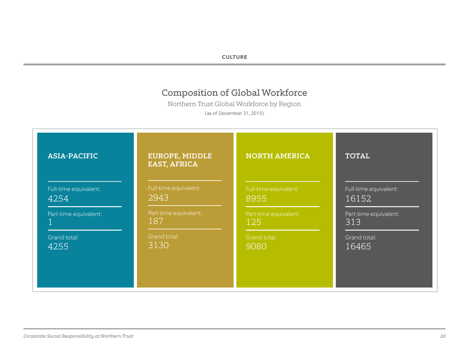#### **CULTURE**

# Composition of Global Workforce

Northern Trust Global Workforce by Region

(as of December 31, 2015)

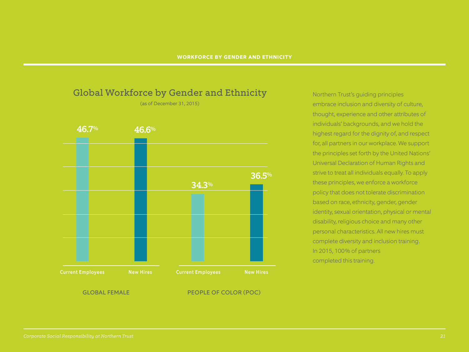

Northern Trust's guiding principles embrace inclusion and diversity of culture, thought, experience and other attributes of individuals' backgrounds, and we hold the highest regard for the dignity of, and respect for, all partners in our workplace. We support the principles set forth by the United Nations' Universal Declaration of Human Rights and strive to treat all individuals equally. To apply these principles, we enforce a workforce policy that does not tolerate discrimination based on race, ethnicity, gender, gender identity, sexual orientation, physical or mental disability, religious choice and many other personal characteristics. All new hires must complete diversity and inclusion training. In 2015, 100% of partners completed this training.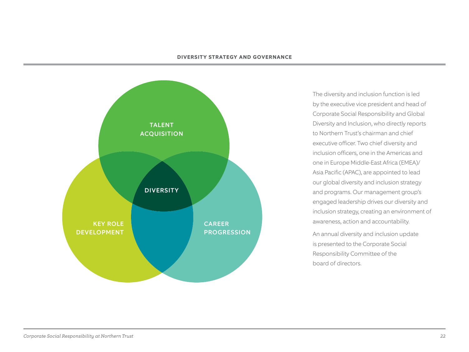#### **DIVERSITY STRATEGY AND GOVERNANCE**



The diversity and inclusion function is led by the executive vice president and head of Corporate Social Responsibility and Global Diversity and Inclusion, who directly reports to Northern Trust's chairman and chief executive officer. Two chief diversity and inclusion officers, one in the Americas and one in Europe Middle-East Africa (EMEA)/ Asia Pacific (APAC), are appointed to lead our global diversity and inclusion strategy and programs. Our management group's engaged leadership drives our diversity and inclusion strategy, creating an environment of awareness, action and accountability.

An annual diversity and inclusion update is presented to the Corporate Social Responsibility Committee of the board of directors.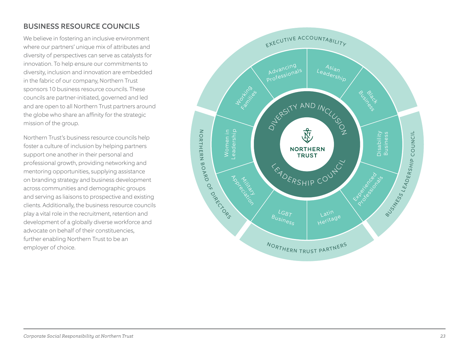# BUSINESS RESOURCE COUNCILS

We believe in fostering an inclusive environment where our partners' unique mix of attributes and diversity of perspectives can serve as catalysts for innovation. To help ensure our commitments to diversity, inclusion and innovation are embedded in the fabric of our company, Northern Trust sponsors 10 business resource councils. These councils are partner-initiated, governed and led and are open to all Northern Trust partners around the globe who share an affinity for the strategic mission of the group.

Northern Trust's business resource councils help foster a culture of inclusion by helping partners support one another in their personal and professional growth, providing networking and mentoring opportunities, supplying assistance on branding strategy and business development across communities and demographic groups and serving as liaisons to prospective and existing clients. Additionally, the business resource councils play a vital role in the recruitment, retention and development of a globally diverse workforce and advocate on behalf of their constituencies, further enabling Northern Trust to be an employer of choice.